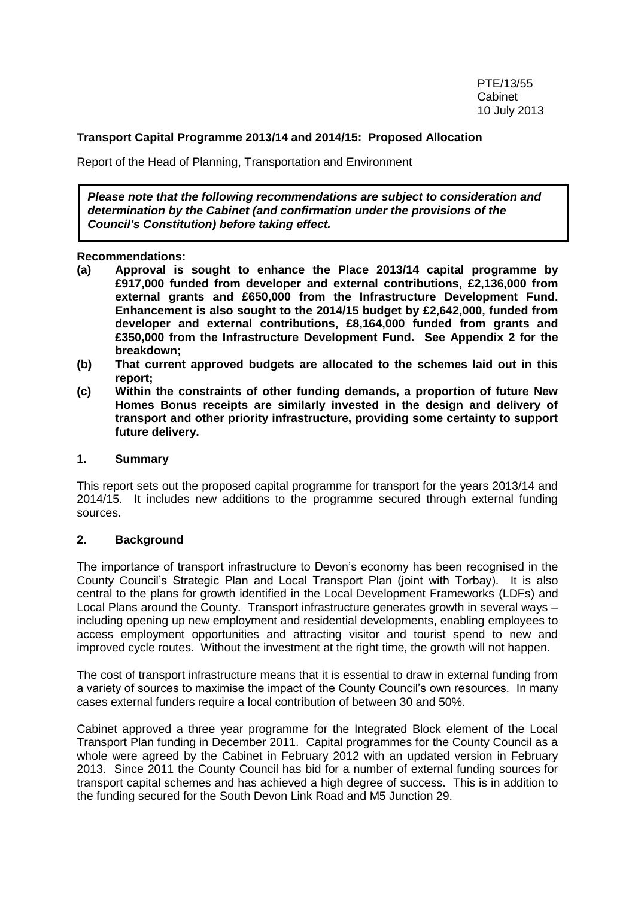#### **Transport Capital Programme 2013/14 and 2014/15: Proposed Allocation**

Report of the Head of Planning, Transportation and Environment

*Please note that the following recommendations are subject to consideration and determination by the Cabinet (and confirmation under the provisions of the Council's Constitution) before taking effect.*

**Recommendations:** 

- **(a) Approval is sought to enhance the Place 2013/14 capital programme by £917,000 funded from developer and external contributions, £2,136,000 from external grants and £650,000 from the Infrastructure Development Fund. Enhancement is also sought to the 2014/15 budget by £2,642,000, funded from developer and external contributions, £8,164,000 funded from grants and £350,000 from the Infrastructure Development Fund. See Appendix 2 for the breakdown;**
- **(b) That current approved budgets are allocated to the schemes laid out in this report;**
- **(c) Within the constraints of other funding demands, a proportion of future New Homes Bonus receipts are similarly invested in the design and delivery of transport and other priority infrastructure, providing some certainty to support future delivery.**

#### **1. Summary**

This report sets out the proposed capital programme for transport for the years 2013/14 and 2014/15. It includes new additions to the programme secured through external funding sources.

#### **2. Background**

The importance of transport infrastructure to Devon's economy has been recognised in the County Council's Strategic Plan and Local Transport Plan (joint with Torbay). It is also central to the plans for growth identified in the Local Development Frameworks (LDFs) and Local Plans around the County. Transport infrastructure generates growth in several ways – including opening up new employment and residential developments, enabling employees to access employment opportunities and attracting visitor and tourist spend to new and improved cycle routes. Without the investment at the right time, the growth will not happen.

The cost of transport infrastructure means that it is essential to draw in external funding from a variety of sources to maximise the impact of the County Council's own resources. In many cases external funders require a local contribution of between 30 and 50%.

Cabinet approved a three year programme for the Integrated Block element of the Local Transport Plan funding in December 2011. Capital programmes for the County Council as a whole were agreed by the Cabinet in February 2012 with an updated version in February 2013. Since 2011 the County Council has bid for a number of external funding sources for transport capital schemes and has achieved a high degree of success. This is in addition to the funding secured for the South Devon Link Road and M5 Junction 29.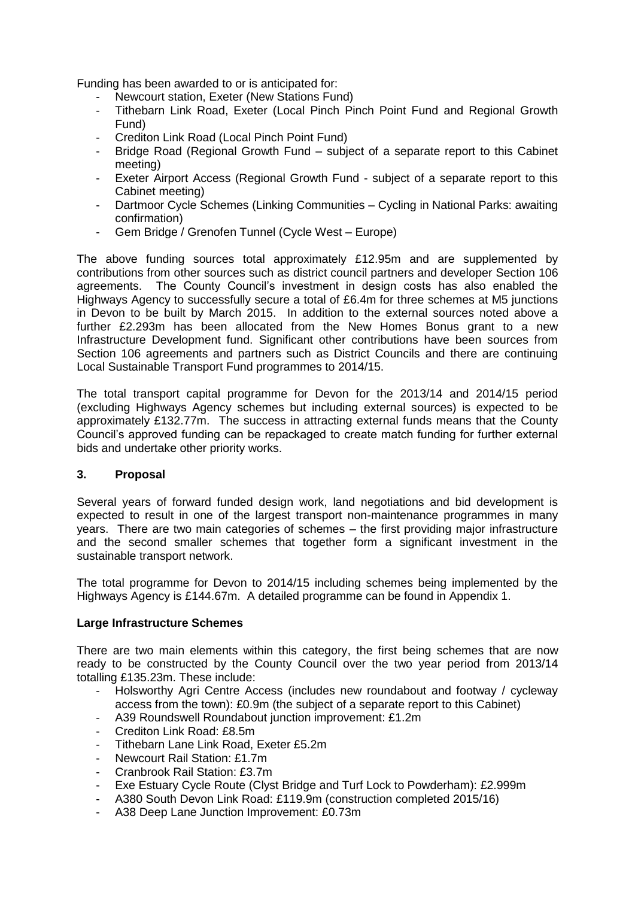Funding has been awarded to or is anticipated for:

- Newcourt station, Exeter (New Stations Fund)
- Tithebarn Link Road, Exeter (Local Pinch Pinch Point Fund and Regional Growth Fund)
- Crediton Link Road (Local Pinch Point Fund)
- Bridge Road (Regional Growth Fund subject of a separate report to this Cabinet meeting)
- Exeter Airport Access (Regional Growth Fund subject of a separate report to this Cabinet meeting)
- Dartmoor Cycle Schemes (Linking Communities Cycling in National Parks: awaiting confirmation)
- Gem Bridge / Grenofen Tunnel (Cycle West Europe)

The above funding sources total approximately £12.95m and are supplemented by contributions from other sources such as district council partners and developer Section 106 agreements. The County Council's investment in design costs has also enabled the Highways Agency to successfully secure a total of £6.4m for three schemes at M5 junctions in Devon to be built by March 2015. In addition to the external sources noted above a further £2.293m has been allocated from the New Homes Bonus grant to a new Infrastructure Development fund. Significant other contributions have been sources from Section 106 agreements and partners such as District Councils and there are continuing Local Sustainable Transport Fund programmes to 2014/15.

The total transport capital programme for Devon for the 2013/14 and 2014/15 period (excluding Highways Agency schemes but including external sources) is expected to be approximately £132.77m. The success in attracting external funds means that the County Council's approved funding can be repackaged to create match funding for further external bids and undertake other priority works.

#### **3. Proposal**

Several years of forward funded design work, land negotiations and bid development is expected to result in one of the largest transport non-maintenance programmes in many years. There are two main categories of schemes – the first providing major infrastructure and the second smaller schemes that together form a significant investment in the sustainable transport network.

The total programme for Devon to 2014/15 including schemes being implemented by the Highways Agency is £144.67m. A detailed programme can be found in Appendix 1.

#### **Large Infrastructure Schemes**

There are two main elements within this category, the first being schemes that are now ready to be constructed by the County Council over the two year period from 2013/14 totalling £135.23m. These include:

- Holsworthy Agri Centre Access (includes new roundabout and footway / cycleway access from the town): £0.9m (the subject of a separate report to this Cabinet)
- A39 Roundswell Roundabout junction improvement: £1.2m
- Crediton Link Road: £8.5m
- Tithebarn Lane Link Road, Exeter £5.2m
- Newcourt Rail Station: £1.7m
- Cranbrook Rail Station: £3.7m
- Exe Estuary Cycle Route (Clyst Bridge and Turf Lock to Powderham): £2.999m
- A380 South Devon Link Road: £119.9m (construction completed 2015/16)
- A38 Deep Lane Junction Improvement: £0.73m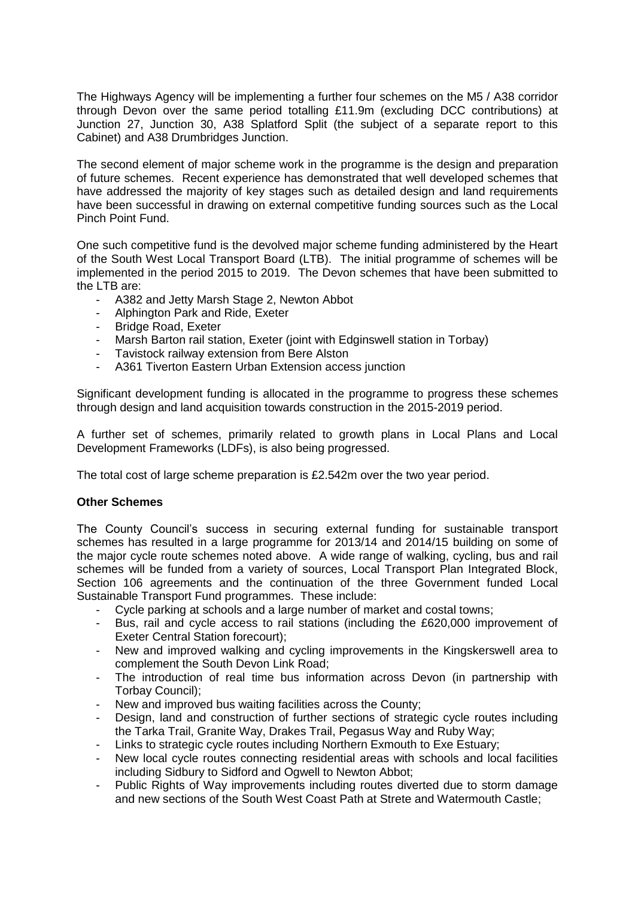The Highways Agency will be implementing a further four schemes on the M5 / A38 corridor through Devon over the same period totalling £11.9m (excluding DCC contributions) at Junction 27, Junction 30, A38 Splatford Split (the subject of a separate report to this Cabinet) and A38 Drumbridges Junction.

The second element of major scheme work in the programme is the design and preparation of future schemes. Recent experience has demonstrated that well developed schemes that have addressed the majority of key stages such as detailed design and land requirements have been successful in drawing on external competitive funding sources such as the Local Pinch Point Fund.

One such competitive fund is the devolved major scheme funding administered by the Heart of the South West Local Transport Board (LTB). The initial programme of schemes will be implemented in the period 2015 to 2019. The Devon schemes that have been submitted to the LTB are:

- A382 and Jetty Marsh Stage 2, Newton Abbot
- Alphington Park and Ride, Exeter
- Bridge Road, Exeter
- Marsh Barton rail station, Exeter (joint with Edginswell station in Torbay)
- Tavistock railway extension from Bere Alston
- A361 Tiverton Eastern Urban Extension access junction

Significant development funding is allocated in the programme to progress these schemes through design and land acquisition towards construction in the 2015-2019 period.

A further set of schemes, primarily related to growth plans in Local Plans and Local Development Frameworks (LDFs), is also being progressed.

The total cost of large scheme preparation is £2.542m over the two year period.

#### **Other Schemes**

The County Council's success in securing external funding for sustainable transport schemes has resulted in a large programme for 2013/14 and 2014/15 building on some of the major cycle route schemes noted above. A wide range of walking, cycling, bus and rail schemes will be funded from a variety of sources, Local Transport Plan Integrated Block, Section 106 agreements and the continuation of the three Government funded Local Sustainable Transport Fund programmes. These include:

- Cycle parking at schools and a large number of market and costal towns;
- Bus, rail and cycle access to rail stations (including the £620,000 improvement of Exeter Central Station forecourt);
- New and improved walking and cycling improvements in the Kingskerswell area to complement the South Devon Link Road;
- The introduction of real time bus information across Devon (in partnership with Torbay Council);
- New and improved bus waiting facilities across the County;
- Design, land and construction of further sections of strategic cycle routes including the Tarka Trail, Granite Way, Drakes Trail, Pegasus Way and Ruby Way;
- Links to strategic cycle routes including Northern Exmouth to Exe Estuary;
- New local cycle routes connecting residential areas with schools and local facilities including Sidbury to Sidford and Ogwell to Newton Abbot;
- Public Rights of Way improvements including routes diverted due to storm damage and new sections of the South West Coast Path at Strete and Watermouth Castle;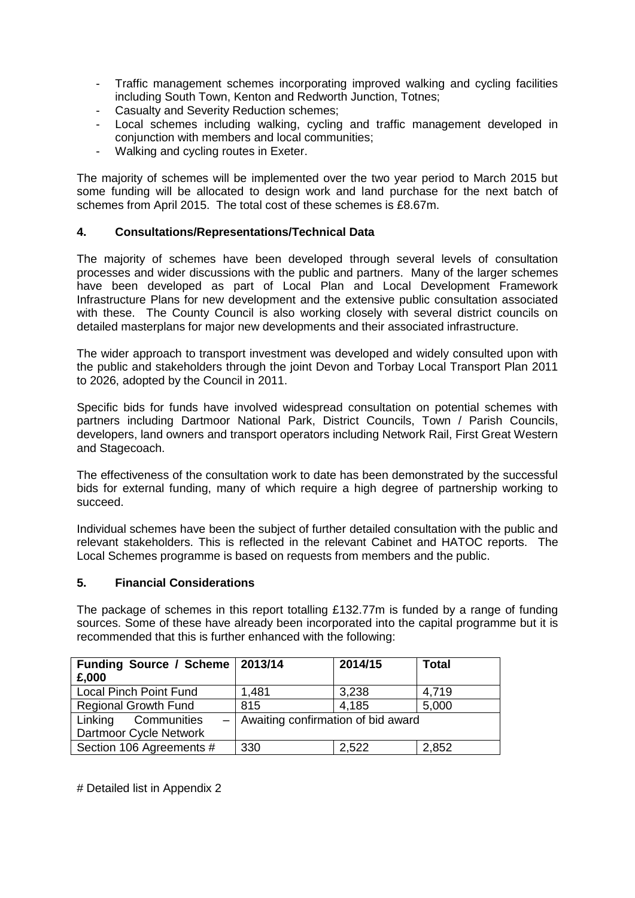- Traffic management schemes incorporating improved walking and cycling facilities including South Town, Kenton and Redworth Junction, Totnes;
- Casualty and Severity Reduction schemes;
- Local schemes including walking, cycling and traffic management developed in conjunction with members and local communities;
- Walking and cycling routes in Exeter.

The majority of schemes will be implemented over the two year period to March 2015 but some funding will be allocated to design work and land purchase for the next batch of schemes from April 2015. The total cost of these schemes is £8.67m.

## **4. Consultations/Representations/Technical Data**

The majority of schemes have been developed through several levels of consultation processes and wider discussions with the public and partners. Many of the larger schemes have been developed as part of Local Plan and Local Development Framework Infrastructure Plans for new development and the extensive public consultation associated with these. The County Council is also working closely with several district councils on detailed masterplans for major new developments and their associated infrastructure.

The wider approach to transport investment was developed and widely consulted upon with the public and stakeholders through the joint Devon and Torbay Local Transport Plan 2011 to 2026, adopted by the Council in 2011.

Specific bids for funds have involved widespread consultation on potential schemes with partners including Dartmoor National Park, District Councils, Town / Parish Councils, developers, land owners and transport operators including Network Rail, First Great Western and Stagecoach.

The effectiveness of the consultation work to date has been demonstrated by the successful bids for external funding, many of which require a high degree of partnership working to succeed.

Individual schemes have been the subject of further detailed consultation with the public and relevant stakeholders. This is reflected in the relevant Cabinet and HATOC reports. The Local Schemes programme is based on requests from members and the public.

#### **5. Financial Considerations**

The package of schemes in this report totalling £132.77m is funded by a range of funding sources. Some of these have already been incorporated into the capital programme but it is recommended that this is further enhanced with the following:

| Funding Source / Scheme   2013/14 |                                        | 2014/15 | <b>Total</b> |
|-----------------------------------|----------------------------------------|---------|--------------|
| £,000                             |                                        |         |              |
| <b>Local Pinch Point Fund</b>     | 1,481                                  | 3,238   | 4,719        |
| <b>Regional Growth Fund</b>       | 815                                    | 4,185   | 5,000        |
| Linking Communities               | $-$ Awaiting confirmation of bid award |         |              |
| Dartmoor Cycle Network            |                                        |         |              |
| Section 106 Agreements #          | 330                                    | 2,522   | 2,852        |

# Detailed list in Appendix 2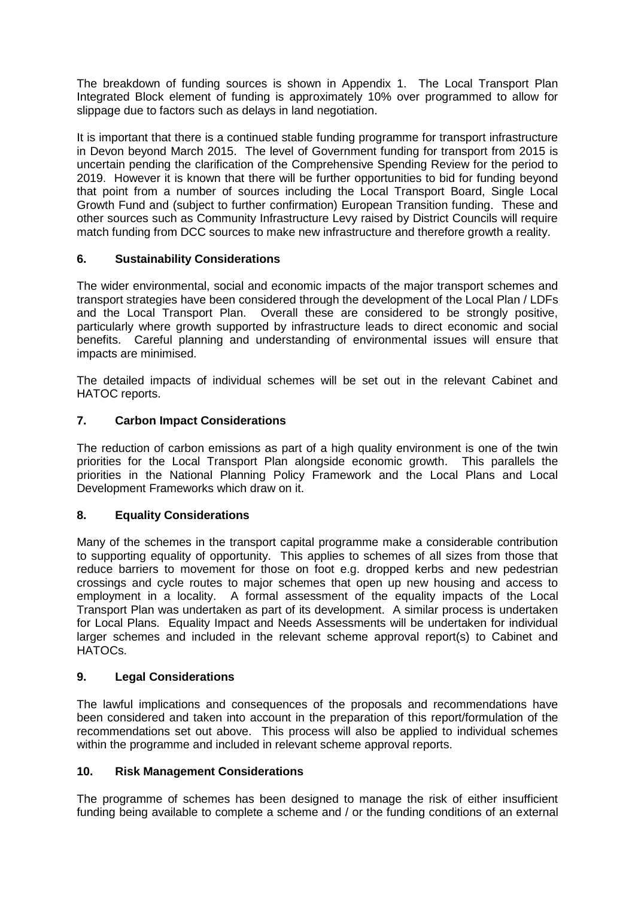The breakdown of funding sources is shown in Appendix 1. The Local Transport Plan Integrated Block element of funding is approximately 10% over programmed to allow for slippage due to factors such as delays in land negotiation.

It is important that there is a continued stable funding programme for transport infrastructure in Devon beyond March 2015. The level of Government funding for transport from 2015 is uncertain pending the clarification of the Comprehensive Spending Review for the period to 2019. However it is known that there will be further opportunities to bid for funding beyond that point from a number of sources including the Local Transport Board, Single Local Growth Fund and (subject to further confirmation) European Transition funding. These and other sources such as Community Infrastructure Levy raised by District Councils will require match funding from DCC sources to make new infrastructure and therefore growth a reality.

## **6. Sustainability Considerations**

The wider environmental, social and economic impacts of the major transport schemes and transport strategies have been considered through the development of the Local Plan / LDFs and the Local Transport Plan. Overall these are considered to be strongly positive, particularly where growth supported by infrastructure leads to direct economic and social benefits. Careful planning and understanding of environmental issues will ensure that impacts are minimised.

The detailed impacts of individual schemes will be set out in the relevant Cabinet and HATOC reports.

## **7. Carbon Impact Considerations**

The reduction of carbon emissions as part of a high quality environment is one of the twin priorities for the Local Transport Plan alongside economic growth. This parallels the priorities in the National Planning Policy Framework and the Local Plans and Local Development Frameworks which draw on it.

#### **8. Equality Considerations**

Many of the schemes in the transport capital programme make a considerable contribution to supporting equality of opportunity. This applies to schemes of all sizes from those that reduce barriers to movement for those on foot e.g. dropped kerbs and new pedestrian crossings and cycle routes to major schemes that open up new housing and access to employment in a locality. A formal assessment of the equality impacts of the Local Transport Plan was undertaken as part of its development. A similar process is undertaken for Local Plans. Equality Impact and Needs Assessments will be undertaken for individual larger schemes and included in the relevant scheme approval report(s) to Cabinet and HATOCs.

#### **9. Legal Considerations**

The lawful implications and consequences of the proposals and recommendations have been considered and taken into account in the preparation of this report/formulation of the recommendations set out above. This process will also be applied to individual schemes within the programme and included in relevant scheme approval reports.

#### **10. Risk Management Considerations**

The programme of schemes has been designed to manage the risk of either insufficient funding being available to complete a scheme and / or the funding conditions of an external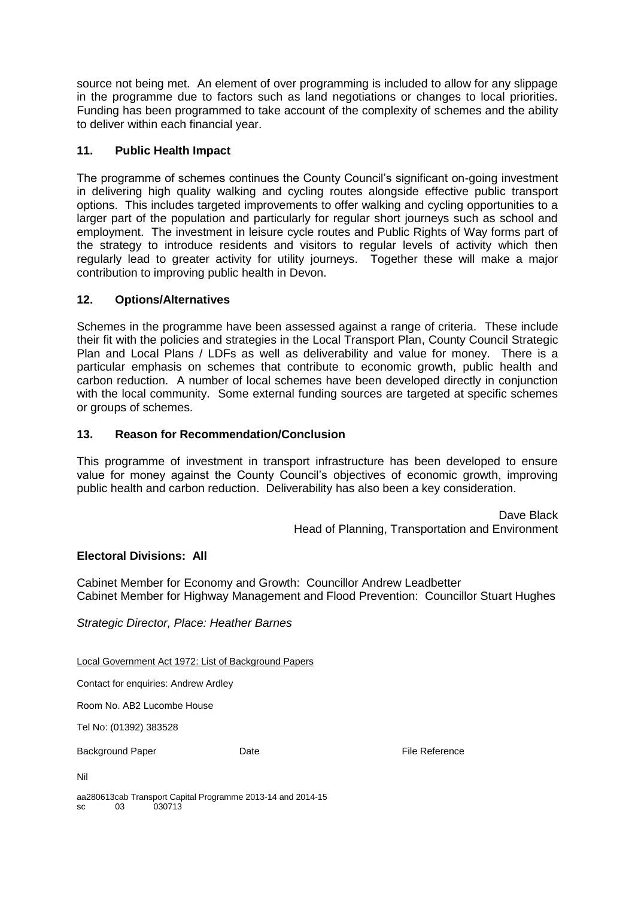source not being met. An element of over programming is included to allow for any slippage in the programme due to factors such as land negotiations or changes to local priorities. Funding has been programmed to take account of the complexity of schemes and the ability to deliver within each financial year.

## **11. Public Health Impact**

The programme of schemes continues the County Council's significant on-going investment in delivering high quality walking and cycling routes alongside effective public transport options. This includes targeted improvements to offer walking and cycling opportunities to a larger part of the population and particularly for regular short journeys such as school and employment. The investment in leisure cycle routes and Public Rights of Way forms part of the strategy to introduce residents and visitors to regular levels of activity which then regularly lead to greater activity for utility journeys. Together these will make a major contribution to improving public health in Devon.

## **12. Options/Alternatives**

Schemes in the programme have been assessed against a range of criteria. These include their fit with the policies and strategies in the Local Transport Plan, County Council Strategic Plan and Local Plans / LDFs as well as deliverability and value for money. There is a particular emphasis on schemes that contribute to economic growth, public health and carbon reduction. A number of local schemes have been developed directly in conjunction with the local community. Some external funding sources are targeted at specific schemes or groups of schemes.

## **13. Reason for Recommendation/Conclusion**

This programme of investment in transport infrastructure has been developed to ensure value for money against the County Council's objectives of economic growth, improving public health and carbon reduction. Deliverability has also been a key consideration.

> Dave Black Head of Planning, Transportation and Environment

#### **Electoral Divisions: All**

Cabinet Member for Economy and Growth: Councillor Andrew Leadbetter Cabinet Member for Highway Management and Flood Prevention: Councillor Stuart Hughes

*Strategic Director, Place: Heather Barnes* 

Local Government Act 1972: List of Background Papers

Contact for enquiries: Andrew Ardley

Room No. AB2 Lucombe House

Tel No: (01392) 383528

Background Paper **Date Date Containers** Date **File Reference** 

Nil

aa280613cab Transport Capital Programme 2013-14 and 2014-15 sc 03 030713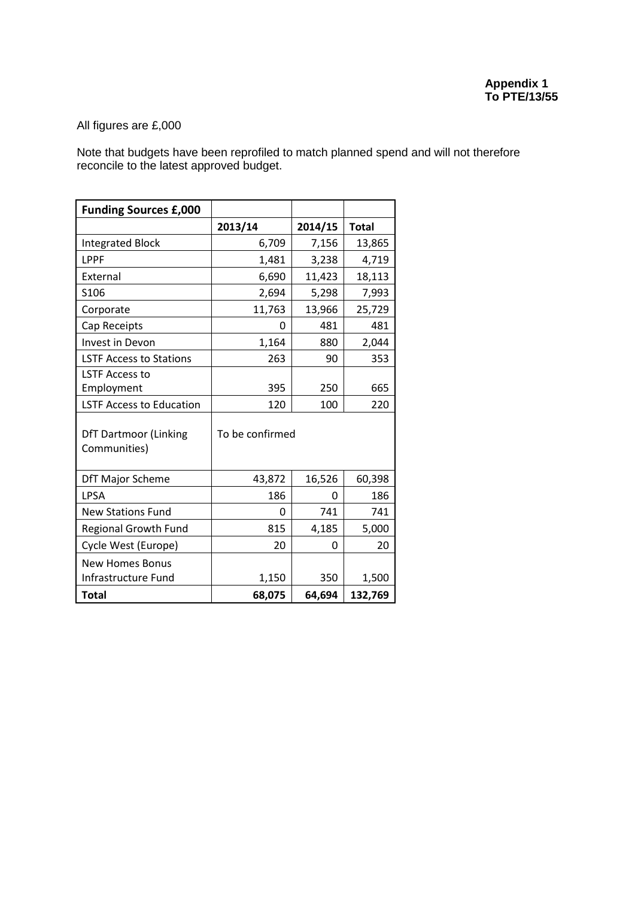# All figures are £,000

Note that budgets have been reprofiled to match planned spend and will not therefore reconcile to the latest approved budget.

| <b>Funding Sources £,000</b>                 |                 |         |              |  |  |
|----------------------------------------------|-----------------|---------|--------------|--|--|
|                                              | 2013/14         | 2014/15 | <b>Total</b> |  |  |
| <b>Integrated Block</b>                      | 6,709           | 7,156   | 13,865       |  |  |
| LPPF                                         | 1,481           | 3,238   | 4,719        |  |  |
| External                                     | 6,690           | 11,423  | 18,113       |  |  |
| S <sub>106</sub>                             | 2,694           | 5,298   | 7,993        |  |  |
| Corporate                                    | 11,763          | 13,966  | 25,729       |  |  |
| Cap Receipts                                 | 0               | 481     | 481          |  |  |
| Invest in Devon                              | 1,164           | 880     | 2,044        |  |  |
| <b>LSTF Access to Stations</b>               | 263             | 90      | 353          |  |  |
| <b>LSTF Access to</b>                        |                 |         |              |  |  |
| Employment                                   | 395             | 250     | 665          |  |  |
| <b>LSTF Access to Education</b>              | 120             | 100     | 220          |  |  |
| <b>DfT Dartmoor (Linking</b><br>Communities) | To be confirmed |         |              |  |  |
| <b>DfT Major Scheme</b>                      | 43,872          | 16,526  | 60,398       |  |  |
| <b>LPSA</b>                                  | 186             | 0       | 186          |  |  |
| <b>New Stations Fund</b>                     | 0               | 741     | 741          |  |  |
| <b>Regional Growth Fund</b>                  | 815             | 4,185   | 5,000        |  |  |
| Cycle West (Europe)                          | 20              | 0       | 20           |  |  |
| <b>New Homes Bonus</b>                       |                 |         |              |  |  |
| Infrastructure Fund                          | 1,150           | 350     | 1,500        |  |  |
| <b>Total</b>                                 | 68,075          | 64,694  | 132,769      |  |  |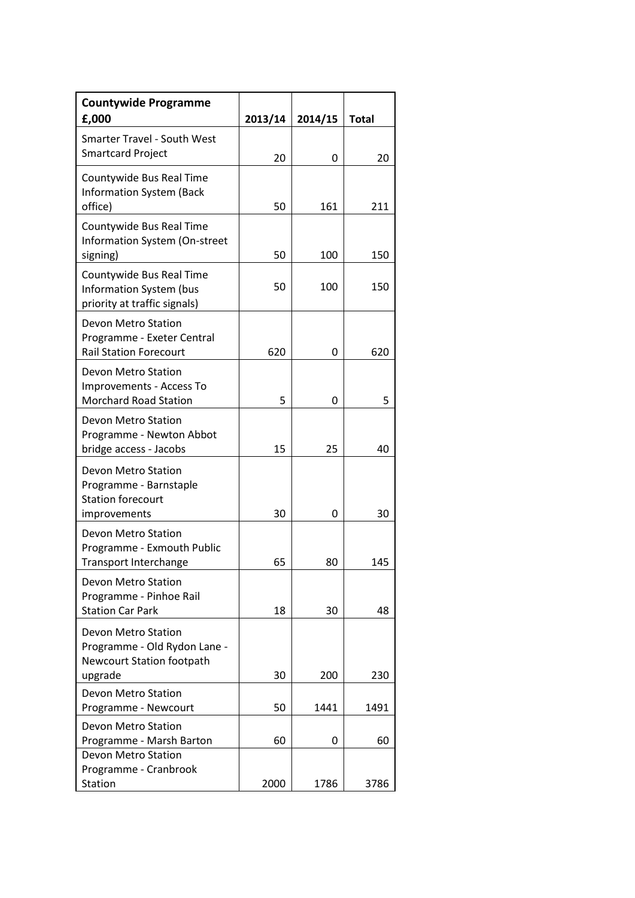| <b>Countywide Programme</b><br>£,000                                                             | 2013/14  | 2014/15     | <b>Total</b> |
|--------------------------------------------------------------------------------------------------|----------|-------------|--------------|
| <b>Smarter Travel - South West</b><br><b>Smartcard Project</b>                                   | 20       | 0           | 20           |
| Countywide Bus Real Time<br><b>Information System (Back</b><br>office)                           | 50       | 161         | 211          |
| Countywide Bus Real Time<br>Information System (On-street<br>signing)                            | 50       | 100         | 150          |
| Countywide Bus Real Time<br>Information System (bus<br>priority at traffic signals)              | 50       | 100         | 150          |
| Devon Metro Station<br>Programme - Exeter Central<br><b>Rail Station Forecourt</b>               | 620      | 0           | 620          |
| Devon Metro Station<br>Improvements - Access To<br><b>Morchard Road Station</b>                  | 5        | 0           | 5            |
| Devon Metro Station<br>Programme - Newton Abbot<br>bridge access - Jacobs                        | 15       | 25          | 40           |
| <b>Devon Metro Station</b><br>Programme - Barnstaple<br><b>Station forecourt</b><br>improvements | 30       | 0           | 30           |
| <b>Devon Metro Station</b><br>Programme - Exmouth Public<br><b>Transport Interchange</b>         | 65       | 80          | 145          |
| Devon Metro Station<br>Programme - Pinhoe Rail<br><b>Station Car Park</b>                        | 18       | 30          | 48           |
| Devon Metro Station<br>Programme - Old Rydon Lane -<br><b>Newcourt Station footpath</b>          |          |             |              |
| upgrade<br>Devon Metro Station<br>Programme - Newcourt                                           | 30<br>50 | 200<br>1441 | 230<br>1491  |
| Devon Metro Station<br>Programme - Marsh Barton                                                  | 60       | 0           | 60           |
| Devon Metro Station<br>Programme - Cranbrook<br><b>Station</b>                                   | 2000     | 1786        | 3786         |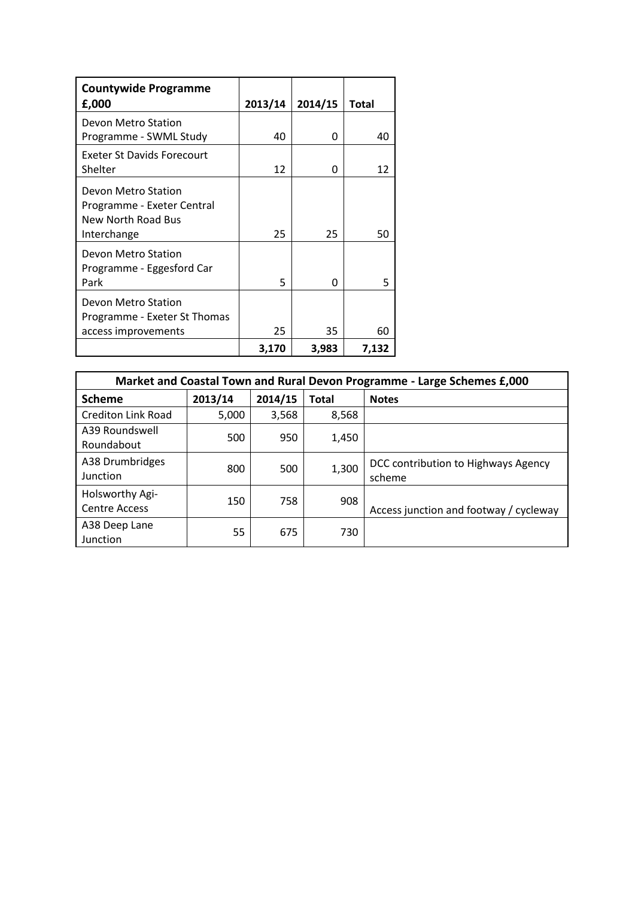| <b>Countywide Programme</b>                                             |         |         |       |
|-------------------------------------------------------------------------|---------|---------|-------|
| £,000                                                                   | 2013/14 | 2014/15 | Total |
| Devon Metro Station<br>Programme - SWML Study                           | 40      | 0       | 40    |
| <b>Exeter St Davids Forecourt</b>                                       |         |         |       |
| Shelter                                                                 | 12      | 0       | 12    |
| Devon Metro Station<br>Programme - Exeter Central<br>New North Road Bus |         |         |       |
| Interchange                                                             | 25      | 25      | 50    |
| Devon Metro Station<br>Programme - Eggesford Car<br>Park                | 5       | 0       | 5     |
| Devon Metro Station<br>Programme - Exeter St Thomas                     |         |         |       |
| access improvements                                                     | 25      | 35      | 60    |
|                                                                         | 3,170   | 3,983   | 7,132 |

| Market and Coastal Town and Rural Devon Programme - Large Schemes £,000 |         |         |              |                                               |  |  |  |  |
|-------------------------------------------------------------------------|---------|---------|--------------|-----------------------------------------------|--|--|--|--|
| <b>Scheme</b>                                                           | 2013/14 | 2014/15 | <b>Total</b> | <b>Notes</b>                                  |  |  |  |  |
| <b>Crediton Link Road</b>                                               | 5,000   | 3,568   | 8,568        |                                               |  |  |  |  |
| A39 Roundswell<br>Roundabout                                            | 500     | 950     | 1,450        |                                               |  |  |  |  |
| A38 Drumbridges<br>Junction                                             | 800     | 500     | 1,300        | DCC contribution to Highways Agency<br>scheme |  |  |  |  |
| Holsworthy Agi-<br><b>Centre Access</b>                                 | 150     | 758     | 908          | Access junction and footway / cycleway        |  |  |  |  |
| A38 Deep Lane<br>Junction                                               | 55      | 675     | 730          |                                               |  |  |  |  |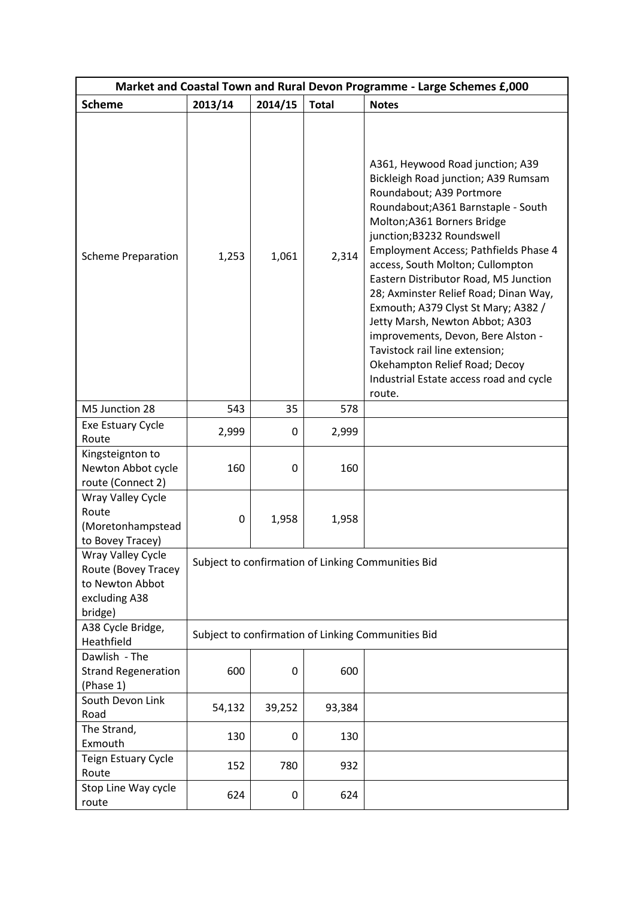| Market and Coastal Town and Rural Devon Programme - Large Schemes £,000                 |         |                                                    |              |                                                                                                                                                                                                                                                                                                                                                                                                                                                                                                                                                                                                                |  |  |  |
|-----------------------------------------------------------------------------------------|---------|----------------------------------------------------|--------------|----------------------------------------------------------------------------------------------------------------------------------------------------------------------------------------------------------------------------------------------------------------------------------------------------------------------------------------------------------------------------------------------------------------------------------------------------------------------------------------------------------------------------------------------------------------------------------------------------------------|--|--|--|
| <b>Scheme</b>                                                                           | 2013/14 | 2014/15                                            | <b>Total</b> | <b>Notes</b>                                                                                                                                                                                                                                                                                                                                                                                                                                                                                                                                                                                                   |  |  |  |
| <b>Scheme Preparation</b>                                                               | 1,253   | 1,061                                              | 2,314        | A361, Heywood Road junction; A39<br>Bickleigh Road junction; A39 Rumsam<br>Roundabout; A39 Portmore<br>Roundabout; A361 Barnstaple - South<br>Molton; A361 Borners Bridge<br>junction; B3232 Roundswell<br>Employment Access; Pathfields Phase 4<br>access, South Molton; Cullompton<br>Eastern Distributor Road, M5 Junction<br>28; Axminster Relief Road; Dinan Way,<br>Exmouth; A379 Clyst St Mary; A382 /<br>Jetty Marsh, Newton Abbot; A303<br>improvements, Devon, Bere Alston -<br>Tavistock rail line extension;<br>Okehampton Relief Road; Decoy<br>Industrial Estate access road and cycle<br>route. |  |  |  |
| M5 Junction 28                                                                          | 543     | 35                                                 | 578          |                                                                                                                                                                                                                                                                                                                                                                                                                                                                                                                                                                                                                |  |  |  |
| Exe Estuary Cycle<br>Route                                                              | 2,999   | 0                                                  | 2,999        |                                                                                                                                                                                                                                                                                                                                                                                                                                                                                                                                                                                                                |  |  |  |
| Kingsteignton to<br>Newton Abbot cycle<br>route (Connect 2)                             | 160     | 0                                                  | 160          |                                                                                                                                                                                                                                                                                                                                                                                                                                                                                                                                                                                                                |  |  |  |
| Wray Valley Cycle<br>Route<br>(Moretonhampstead<br>to Bovey Tracey)                     | 0       | 1,958                                              | 1,958        |                                                                                                                                                                                                                                                                                                                                                                                                                                                                                                                                                                                                                |  |  |  |
| Wray Valley Cycle<br>Route (Bovey Tracey<br>to Newton Abbot<br>excluding A38<br>bridge) |         | Subject to confirmation of Linking Communities Bid |              |                                                                                                                                                                                                                                                                                                                                                                                                                                                                                                                                                                                                                |  |  |  |
| A38 Cycle Bridge,<br>Heathfield                                                         |         |                                                    |              | Subject to confirmation of Linking Communities Bid                                                                                                                                                                                                                                                                                                                                                                                                                                                                                                                                                             |  |  |  |
| Dawlish - The<br><b>Strand Regeneration</b><br>(Phase 1)                                | 600     | 0                                                  | 600          |                                                                                                                                                                                                                                                                                                                                                                                                                                                                                                                                                                                                                |  |  |  |
| South Devon Link<br>Road                                                                | 54,132  | 39,252                                             | 93,384       |                                                                                                                                                                                                                                                                                                                                                                                                                                                                                                                                                                                                                |  |  |  |
| The Strand,<br>Exmouth                                                                  | 130     | 0                                                  | 130          |                                                                                                                                                                                                                                                                                                                                                                                                                                                                                                                                                                                                                |  |  |  |
| Teign Estuary Cycle<br>Route                                                            | 152     | 780                                                | 932          |                                                                                                                                                                                                                                                                                                                                                                                                                                                                                                                                                                                                                |  |  |  |
| Stop Line Way cycle<br>route                                                            | 624     | 0                                                  | 624          |                                                                                                                                                                                                                                                                                                                                                                                                                                                                                                                                                                                                                |  |  |  |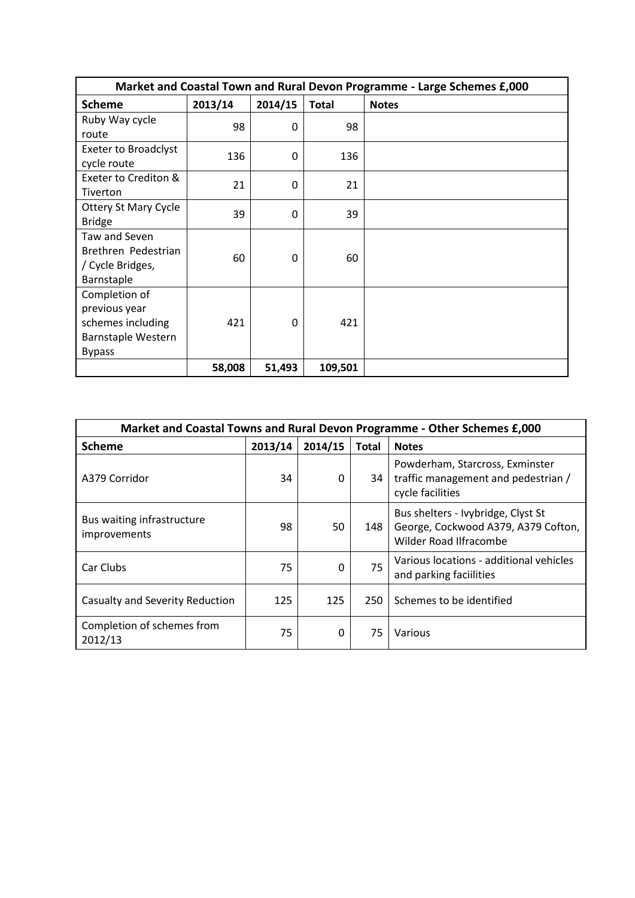| Market and Coastal Town and Rural Devon Programme - Large Schemes £,000 |         |          |              |              |  |  |  |
|-------------------------------------------------------------------------|---------|----------|--------------|--------------|--|--|--|
| <b>Scheme</b>                                                           | 2013/14 | 2014/15  | <b>Total</b> | <b>Notes</b> |  |  |  |
| Ruby Way cycle                                                          | 98      | 0        | 98           |              |  |  |  |
| route                                                                   |         |          |              |              |  |  |  |
| <b>Exeter to Broadclyst</b>                                             | 136     | 0        | 136          |              |  |  |  |
| cycle route                                                             |         |          |              |              |  |  |  |
| Exeter to Crediton &                                                    | 21      | $\Omega$ | 21           |              |  |  |  |
| Tiverton                                                                |         |          |              |              |  |  |  |
| <b>Ottery St Mary Cycle</b>                                             | 39      | $\Omega$ | 39           |              |  |  |  |
| <b>Bridge</b>                                                           |         |          |              |              |  |  |  |
| Taw and Seven                                                           |         |          |              |              |  |  |  |
| Brethren Pedestrian                                                     | 60      | 0        | 60           |              |  |  |  |
| / Cycle Bridges,                                                        |         |          |              |              |  |  |  |
| Barnstaple                                                              |         |          |              |              |  |  |  |
| Completion of                                                           |         |          |              |              |  |  |  |
| previous year                                                           |         |          |              |              |  |  |  |
| schemes including                                                       | 421     | 0        | 421          |              |  |  |  |
| Barnstaple Western                                                      |         |          |              |              |  |  |  |
| <b>Bypass</b>                                                           |         |          |              |              |  |  |  |
|                                                                         | 58,008  | 51,493   | 109,501      |              |  |  |  |

| Market and Coastal Towns and Rural Devon Programme - Other Schemes £,000 |         |          |       |                                                                                                            |  |
|--------------------------------------------------------------------------|---------|----------|-------|------------------------------------------------------------------------------------------------------------|--|
| <b>Scheme</b>                                                            | 2013/14 | 2014/15  | Total | <b>Notes</b>                                                                                               |  |
| A379 Corridor                                                            | 34      | 0        | 34    | Powderham, Starcross, Exminster<br>traffic management and pedestrian /<br>cycle facilities                 |  |
| Bus waiting infrastructure<br>improvements                               | 98      | 50       | 148   | Bus shelters - Ivybridge, Clyst St<br>George, Cockwood A379, A379 Cofton,<br><b>Wilder Road Ilfracombe</b> |  |
| Car Clubs                                                                | 75      | $\Omega$ | 75    | Various locations - additional vehicles<br>and parking faciilities                                         |  |
| Casualty and Severity Reduction                                          | 125     | 125      | 250   | Schemes to be identified                                                                                   |  |
| Completion of schemes from<br>2012/13                                    | 75      | 0        | 75    | Various                                                                                                    |  |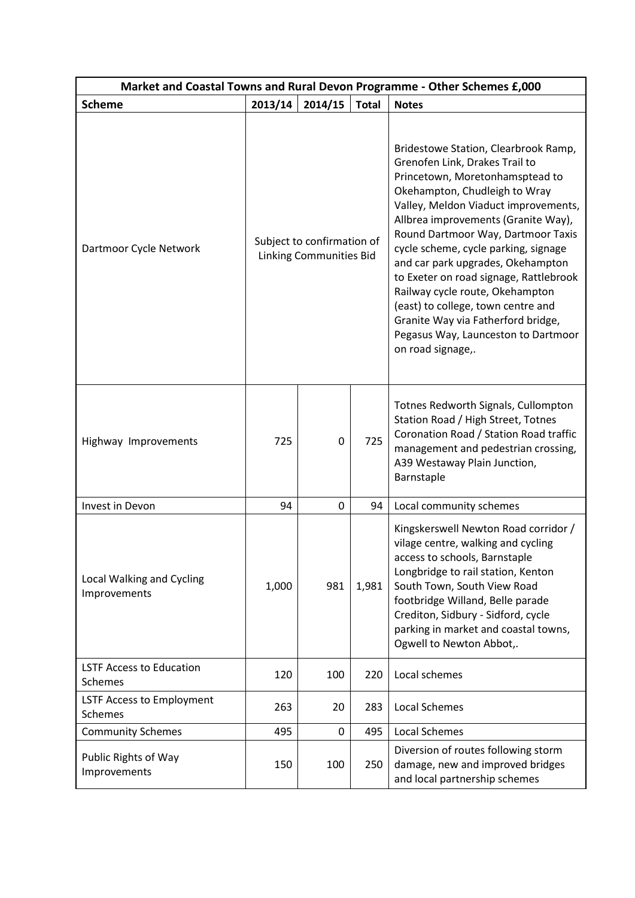| Market and Coastal Towns and Rural Devon Programme - Other Schemes £,000 |                                                              |         |              |                                                                                                                                                                                                                                                                                                                                                                                                                                                                                                                                                                   |  |  |
|--------------------------------------------------------------------------|--------------------------------------------------------------|---------|--------------|-------------------------------------------------------------------------------------------------------------------------------------------------------------------------------------------------------------------------------------------------------------------------------------------------------------------------------------------------------------------------------------------------------------------------------------------------------------------------------------------------------------------------------------------------------------------|--|--|
| <b>Scheme</b>                                                            | 2013/14                                                      | 2014/15 | <b>Total</b> | <b>Notes</b>                                                                                                                                                                                                                                                                                                                                                                                                                                                                                                                                                      |  |  |
| Dartmoor Cycle Network                                                   | Subject to confirmation of<br><b>Linking Communities Bid</b> |         |              | Bridestowe Station, Clearbrook Ramp,<br>Grenofen Link, Drakes Trail to<br>Princetown, Moretonhamsptead to<br>Okehampton, Chudleigh to Wray<br>Valley, Meldon Viaduct improvements,<br>Allbrea improvements (Granite Way),<br>Round Dartmoor Way, Dartmoor Taxis<br>cycle scheme, cycle parking, signage<br>and car park upgrades, Okehampton<br>to Exeter on road signage, Rattlebrook<br>Railway cycle route, Okehampton<br>(east) to college, town centre and<br>Granite Way via Fatherford bridge,<br>Pegasus Way, Launceston to Dartmoor<br>on road signage,. |  |  |
| Highway Improvements                                                     | 725                                                          | 0       | 725          | Totnes Redworth Signals, Cullompton<br>Station Road / High Street, Totnes<br>Coronation Road / Station Road traffic<br>management and pedestrian crossing,<br>A39 Westaway Plain Junction,<br>Barnstaple                                                                                                                                                                                                                                                                                                                                                          |  |  |
| Invest in Devon                                                          | 94                                                           | 0       | 94           | Local community schemes                                                                                                                                                                                                                                                                                                                                                                                                                                                                                                                                           |  |  |
| Local Walking and Cycling<br>Improvements                                | 1,000                                                        | 981     | 1,981        | Kingskerswell Newton Road corridor /<br>vilage centre, walking and cycling<br>access to schools, Barnstaple<br>Longbridge to rail station, Kenton<br>South Town, South View Road<br>footbridge Willand, Belle parade<br>Crediton, Sidbury - Sidford, cycle<br>parking in market and coastal towns,<br>Ogwell to Newton Abbot,.                                                                                                                                                                                                                                    |  |  |
| <b>LSTF Access to Education</b><br><b>Schemes</b>                        | 120                                                          | 100     | 220          | Local schemes                                                                                                                                                                                                                                                                                                                                                                                                                                                                                                                                                     |  |  |
| LSTF Access to Employment<br>Schemes                                     | 263                                                          | 20      | 283          | <b>Local Schemes</b>                                                                                                                                                                                                                                                                                                                                                                                                                                                                                                                                              |  |  |
| <b>Community Schemes</b>                                                 | 495                                                          | 0       | 495          | <b>Local Schemes</b>                                                                                                                                                                                                                                                                                                                                                                                                                                                                                                                                              |  |  |
| Public Rights of Way<br>Improvements                                     | 150                                                          | 100     | 250          | Diversion of routes following storm<br>damage, new and improved bridges<br>and local partnership schemes                                                                                                                                                                                                                                                                                                                                                                                                                                                          |  |  |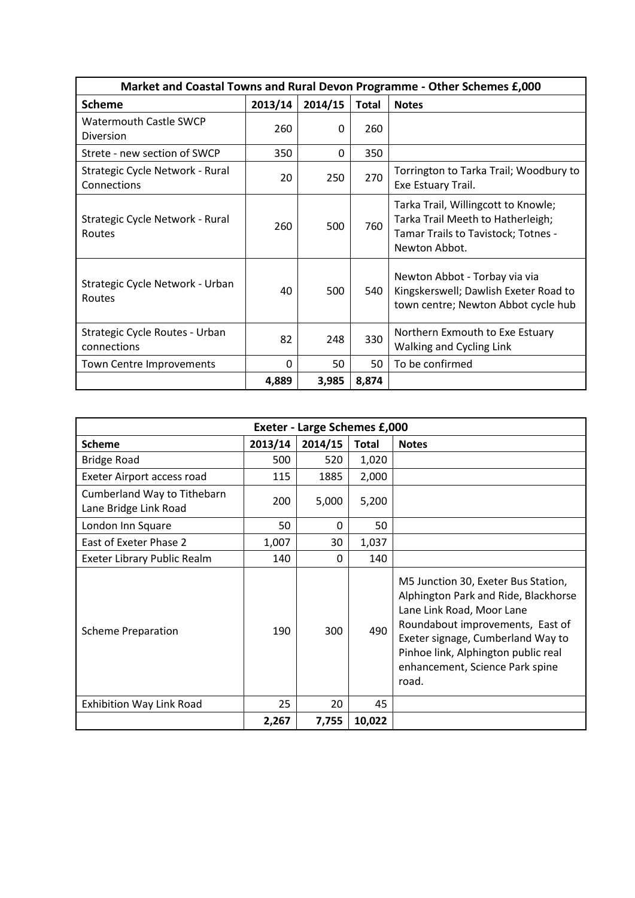| Market and Coastal Towns and Rural Devon Programme - Other Schemes £,000 |          |          |              |                                                                                                                                  |  |
|--------------------------------------------------------------------------|----------|----------|--------------|----------------------------------------------------------------------------------------------------------------------------------|--|
| <b>Scheme</b>                                                            | 2013/14  | 2014/15  | <b>Total</b> | <b>Notes</b>                                                                                                                     |  |
| <b>Watermouth Castle SWCP</b><br>Diversion                               | 260      | $\Omega$ | 260          |                                                                                                                                  |  |
| Strete - new section of SWCP                                             | 350      | 0        | 350          |                                                                                                                                  |  |
| Strategic Cycle Network - Rural<br>Connections                           | 20       | 250      | 270          | Torrington to Tarka Trail; Woodbury to<br>Exe Estuary Trail.                                                                     |  |
| Strategic Cycle Network - Rural<br>Routes                                | 260      | 500      | 760          | Tarka Trail, Willingcott to Knowle;<br>Tarka Trail Meeth to Hatherleigh;<br>Tamar Trails to Tavistock; Totnes -<br>Newton Abbot. |  |
| Strategic Cycle Network - Urban<br>Routes                                | 40       | 500      | 540          | Newton Abbot - Torbay via via<br>Kingskerswell; Dawlish Exeter Road to<br>town centre; Newton Abbot cycle hub                    |  |
| Strategic Cycle Routes - Urban<br>connections                            | 82       | 248      | 330          | Northern Exmouth to Exe Estuary<br>Walking and Cycling Link                                                                      |  |
| Town Centre Improvements                                                 | $\Omega$ | 50       | 50           | To be confirmed                                                                                                                  |  |
|                                                                          | 4,889    | 3,985    | 8,874        |                                                                                                                                  |  |

| <b>Exeter - Large Schemes £,000</b>                  |         |          |              |                                                                                                                                                                                                                                                                      |  |  |
|------------------------------------------------------|---------|----------|--------------|----------------------------------------------------------------------------------------------------------------------------------------------------------------------------------------------------------------------------------------------------------------------|--|--|
| <b>Scheme</b>                                        | 2013/14 | 2014/15  | <b>Total</b> | <b>Notes</b>                                                                                                                                                                                                                                                         |  |  |
| <b>Bridge Road</b>                                   | 500     | 520      | 1,020        |                                                                                                                                                                                                                                                                      |  |  |
| Exeter Airport access road                           | 115     | 1885     | 2,000        |                                                                                                                                                                                                                                                                      |  |  |
| Cumberland Way to Tithebarn<br>Lane Bridge Link Road | 200     | 5,000    | 5,200        |                                                                                                                                                                                                                                                                      |  |  |
| London Inn Square                                    | 50      | 0        | 50           |                                                                                                                                                                                                                                                                      |  |  |
| East of Exeter Phase 2                               | 1,007   | 30       | 1,037        |                                                                                                                                                                                                                                                                      |  |  |
| Exeter Library Public Realm                          | 140     | $\Omega$ | 140          |                                                                                                                                                                                                                                                                      |  |  |
| <b>Scheme Preparation</b>                            | 190     | 300      | 490          | M5 Junction 30, Exeter Bus Station,<br>Alphington Park and Ride, Blackhorse<br>Lane Link Road, Moor Lane<br>Roundabout improvements, East of<br>Exeter signage, Cumberland Way to<br>Pinhoe link, Alphington public real<br>enhancement, Science Park spine<br>road. |  |  |
| <b>Exhibition Way Link Road</b>                      | 25      | 20       | 45           |                                                                                                                                                                                                                                                                      |  |  |
|                                                      | 2,267   | 7,755    | 10,022       |                                                                                                                                                                                                                                                                      |  |  |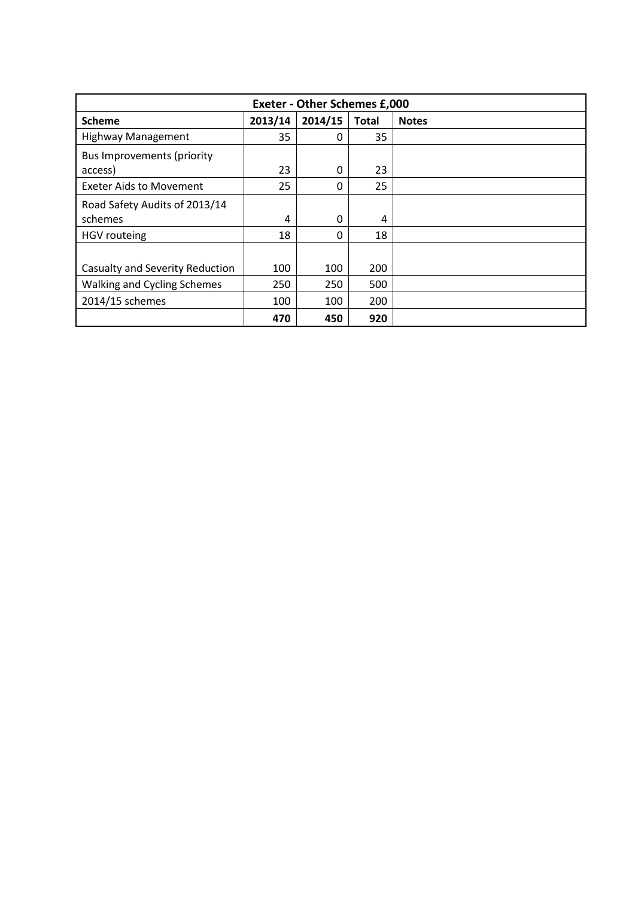| <b>Exeter - Other Schemes £,000</b>          |         |         |              |              |  |  |
|----------------------------------------------|---------|---------|--------------|--------------|--|--|
| <b>Scheme</b>                                | 2013/14 | 2014/15 | <b>Total</b> | <b>Notes</b> |  |  |
| <b>Highway Management</b>                    | 35      | 0       | 35           |              |  |  |
| <b>Bus Improvements (priority</b><br>access) | 23      | 0       | 23           |              |  |  |
| <b>Exeter Aids to Movement</b>               | 25      | 0       | 25           |              |  |  |
| Road Safety Audits of 2013/14<br>schemes     | 4       | 0       | 4            |              |  |  |
| <b>HGV</b> routeing                          | 18      | 0       | 18           |              |  |  |
| Casualty and Severity Reduction              | 100     | 100     | 200          |              |  |  |
| Walking and Cycling Schemes                  | 250     | 250     | 500          |              |  |  |
| 2014/15 schemes                              | 100     | 100     | 200          |              |  |  |
|                                              | 470     | 450     | 920          |              |  |  |